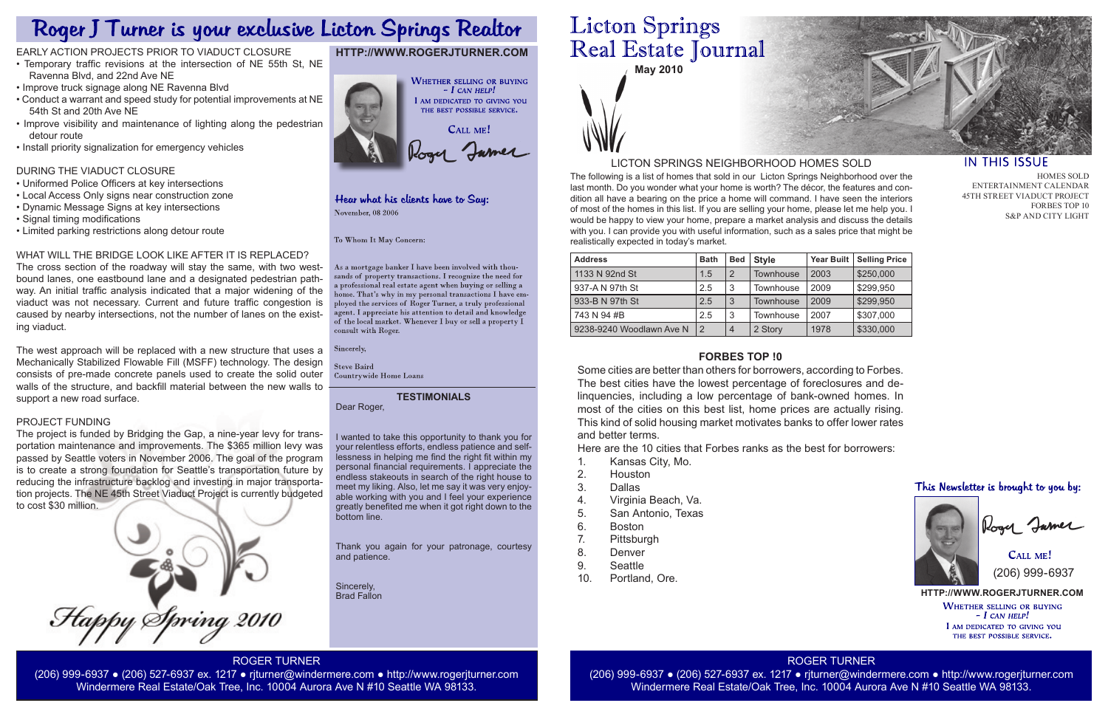

The following is a list of homes that sold in our Licton Springs Neighborhood over the last month. Do you wonder what your home is worth? The décor, the features and condition all have a bearing on the price a home will command. I have seen the interiors of most of the homes in this list. If you are selling your home, please let me help you. I would be happy to view your home, prepare a market analysis and discuss the details with you. I can provide you with useful information, such as a sales price that might be realistically expected in today's market.

> **HTTP://WWW.ROGERJTURNER.COM WHETHER SELLING OR BUYING**  $-$  I can help! I AM DEDICATED TO GIVING YOU THE BEST POSSIBLE SERVICE.

CALL ME! (206) 999-6937

# LICTON SPRINGS NEIGHBORHOOD HOMES SOLD

# **HTTP://WWW.ROGERJTURNER.COM**



### Hear what his clients have to Say: November, 08 2006

To Whom It May Concern:

As a mortgage banker I have been involved with thousands of property transactions. I recognize the need for a professional real estate agent when buying or selling a home. That's why in my personal transactions I have employed the services of Roger Turner, a truly professional agent. I appreciate his attention to detail and knowledge of the local market. Whenever I buy or sell a property  $\check{\mathrm{I}}$ consult with Roger.

Sincerely,

**Steve Baird Countrywide Home Loans** 

| <b>Address</b>           | <b>Bath</b>    | <b>Bed</b>     | <b>Style</b>     |      | Year Built   Selling Price |
|--------------------------|----------------|----------------|------------------|------|----------------------------|
| 1133 N 92nd St           | 1.5            | $\overline{2}$ | Townhouse        | 2003 | \$250,000                  |
| 937-A N 97th St          | 2.5            | 3              | Townhouse        | 2009 | \$299,950                  |
| 933-B N 97th St          | 2.5            | 3              | <b>Townhouse</b> | 2009 | \$299,950                  |
| 743 N 94 #B              | 2.5            | 3              | Townhouse        | 2007 | \$307,000                  |
| 9238-9240 Woodlawn Ave N | $\overline{2}$ | 4              | 2 Story          | 1978 | \$330,000                  |

### **TESTIMONIALS**

Dear Roger,

I wanted to take this opportunity to thank you for your relentless efforts, endless patience and selflessness in helping me find the right fit within my personal financial requirements. I appreciate the endless stakeouts in search of the right house to meet my liking. Also, let me say it was very enjoyable working with you and I feel your experience greatly benefited me when it got right down to the bottom line.

Thank you again for your patronage, courtesy and patience.

Sincerely, Brad Fallon

# **Licton Springs** Real Estate Journal

ROGER TURNER (206) 999-6937 ● (206) 527-6937 ex. 1217 ● rjturner@windermere.com ● http://www.rogerjturner.com Windermere Real Estate/Oak Tree, Inc. 10004 Aurora Ave N #10 Seattle WA 98133.



# **IN THIS ISSUE**

ROGER TURNER

(206) 999-6937 ● (206) 527-6937 ex. 1217 ● rjturner@windermere.com ● http://www.rogerjturner.com Windermere Real Estate/Oak Tree, Inc. 10004 Aurora Ave N #10 Seattle WA 98133.

# **FORBES TOP !0**

Some cities are better than others for borrowers, according to Forbes. The best cities have the lowest percentage of foreclosures and delinquencies, including a low percentage of bank-owned homes. In most of the cities on this best list, home prices are actually rising. This kind of solid housing market motivates banks to offer lower rates and better terms.

Here are the 10 cities that Forbes ranks as the best for borrowers:

- 1. Kansas City, Mo.
- 2. Houston
- 3. Dallas
- 4. Virginia Beach, Va.
- 5. San Antonio, Texas
- **Boston**
- 7. Pittsburgh
- 8. Denver
- 9. Seattle
- 10. Portland, Ore.

# Roger J Turner is your exclusive Licton Springs Realtor

# EARLY ACTION PROJECTS PRIOR TO VIADUCT CLOSURE

- Temporary traffic revisions at the intersection of NE 55th St, NE Ravenna Blvd, and 22nd Ave NE
- Improve truck signage along NE Ravenna Blvd
- Conduct a warrant and speed study for potential improvements at NE 54th St and 20th Ave NE
- Improve visibility and maintenance of lighting along the pedestrian detour route
- Install priority signalization for emergency vehicles

# DURING THE VIADUCT CLOSURE

- Uniformed Police Officers at key intersections
- Local Access Only signs near construction zone
- Dynamic Message Signs at key intersections
- Signal timing modifications
- Limited parking restrictions along detour route

# WHAT WILL THE BRIDGE LOOK LIKE AFTER IT IS REPLACED?

The cross section of the roadway will stay the same, with two westbound lanes, one eastbound lane and a designated pedestrian pathway. An initial traffic analysis indicated that a major widening of the viaduct was not necessary. Current and future traffic congestion is caused by nearby intersections, not the number of lanes on the existing viaduct.

The west approach will be replaced with a new structure that uses a Mechanically Stabilized Flowable Fill (MSFF) technology. The design consists of pre-made concrete panels used to create the solid outer walls of the structure, and backfill material between the new walls to support a new road surface.

## PROJECT FUNDING

The project is funded by Bridging the Gap, a nine-year levy for transportation maintenance and improvements. The \$365 million levy was passed by Seattle voters in November 2006. The goal of the program is to create a strong foundation for Seattle's transportation future by reducing the infrastructure backlog and investing in major transportation projects. The NE 45th Street Viaduct Project is currently budgeted to cost \$30 million.



HOMES SOLD ENTERTAINMENT CALENDAR 45TH STREET VIADUCT PROJECT FORBES TOP 10 S&P AND CITY LIGHT

# This Newsletter is brought to you by:



Jamer